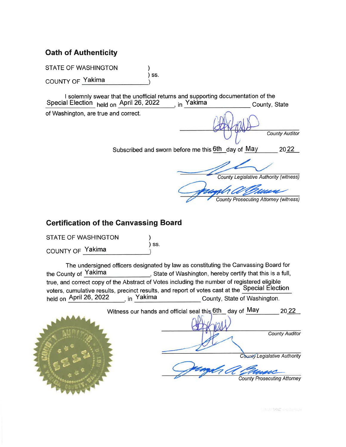# **Oath of Authenticity**

**STATE OF WASHINGTON** 

COUNTY OF Yakima

I solemnly swear that the unofficial returns and supporting documentation of the in Yakima Special Election held on April 26, 2022 County, State

 $)$  SS.

of Washington, are true and correct.

**County Auditor** 

Subscribed and sworn before me this 6th day of May 2022

**County Legislative Authority (witness)** 

**County Prosecuting Attorney (witness)** 

# **Certification of the Canvassing Board**

**STATE OF WASHINGTON** 

COUNTY OF Yakima

The undersigned officers designated by law as constituting the Canvassing Board for the County of Yakima State of Washington, hereby certify that this is a full, true, and correct copy of the Abstract of Votes including the number of registered eligible voters, cumulative results, precinct results, and report of votes cast at the Special Election <sub>. in</sub> Yakima held on April 26, 2022 County, State of Washington.

 $)$  SS.



Witness our hands and official seal this 6th day of May 2022

**County Auditor** 

**County Legislative Authority** 

**County Prosecuting Attorney**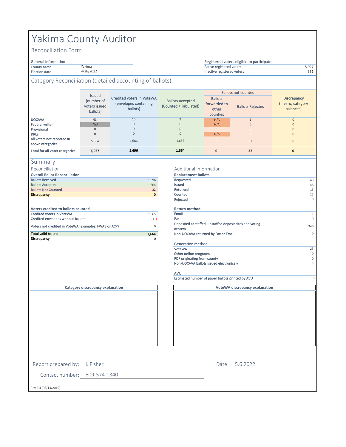# Yakima County Auditor

Yakima 4/26/2022

Reconciliation Form

#### General information

#### County name 5,927 Active registered voters Election date and the 331 and 4/26/2022 **Contract of the State of the State of the State of the State of the State of the State of the State of the State of the State of the State of the State of the State of the State of** Registered voters eligible to participate

## Category Reconciliation (detailed accounting of ballots)

|                                                | Issued<br>(number of<br>voters issued<br>ballots) | Credited voters in VoteWA<br>(envelopes containing<br>ballots) | <b>Ballots Accepted</b><br>(Counted / Tabulated) | <b>Ballots</b><br>forwarded to<br>other<br>counties | <b>Ballots not counted</b><br><b>Ballots Rejected</b> | <b>Discrepancy</b><br>(If zero, category)<br>balances) |
|------------------------------------------------|---------------------------------------------------|----------------------------------------------------------------|--------------------------------------------------|-----------------------------------------------------|-------------------------------------------------------|--------------------------------------------------------|
| <b>UOCAVA</b>                                  | 63                                                | 10                                                             | 9                                                | N/A                                                 |                                                       | $\overline{0}$                                         |
| Federal write-in                               | N/A                                               | $\mathbf{0}$                                                   | $\mathbf{0}$                                     | N/A                                                 | $\mathbf{0}$                                          | $\overline{0}$                                         |
| Provisional                                    |                                                   | $\Omega$                                                       | $\Omega$                                         | $\Omega$                                            | $\mathbf{0}$                                          | $\overline{0}$                                         |
| <b>DREs</b>                                    |                                                   | $\mathbf{0}$                                                   | $\mathbf{0}$                                     | N/A                                                 | $\mathbf{0}$                                          | $\overline{0}$                                         |
| All voters not reported in<br>above categories | 5,964                                             | 1,686                                                          | 1,655                                            | $\Omega$                                            | 31                                                    | $\overline{0}$                                         |
| Total for all voter categories                 | 6,027                                             | 1,696                                                          | 1,664                                            | $\mathbf{0}$                                        | 32                                                    | $\mathbf{0}$                                           |

|  | ummar |  |  |  |
|--|-------|--|--|--|
|--|-------|--|--|--|

Reconciliation

**Overall Ballot Reconciliation** 

| <b>Ballots Received</b>    | 1,696 | Requested |
|----------------------------|-------|-----------|
| <b>Ballots Accepted</b>    | 1,664 | Issued    |
| <b>Ballots Not Counted</b> | 32    | Returned  |
| <b>Discrepancy</b>         | 0     | Counted   |
|                            |       | Rejected  |
|                            |       |           |

| Discrepancy                                                     | n            |
|-----------------------------------------------------------------|--------------|
| <b>Total valid ballots</b>                                      | 1,664        |
| Voters not credited in VoteWA (examples: FWAB or ACP)           | <sup>n</sup> |
| Credited voters in VoteWA<br>Credited envelopes without ballots | 1.665<br>(1) |
| Voters credited to ballots counted                              |              |

# Additional Information

| <b>Overall Ballot Reconciliation</b>                  |             | <b>Replacement Ballots</b>                                          |              |
|-------------------------------------------------------|-------------|---------------------------------------------------------------------|--------------|
| <b>Ballots Received</b>                               | 1,696       | Requested                                                           | 48           |
| <b>Ballots Accepted</b>                               | 1,664       | Issued                                                              | 48           |
| <b>Ballots Not Counted</b>                            | 32          | Returned                                                            | 15           |
| <b>Discrepancy</b>                                    | $\mathbf 0$ | Counted                                                             | 15           |
|                                                       |             | Rejected                                                            | $\Omega$     |
| <b>Voters credited to ballots counted</b>             |             | <b>Return method</b>                                                |              |
| Credited voters in VoteWA                             | 1,665       | Email                                                               | $\mathbf{1}$ |
| Credited envelopes without ballots                    | (1)         | Fax                                                                 | $\circ$      |
| Voters not credited in VoteWA (examples: FWAB or ACP) | 0           | Deposited at staffed, unstaffed deposit sites and voting<br>centers | 340          |
| <b>Total valid ballots</b>                            | 1,664       | Non-UOCAVA returned by Fax or Email                                 | $\circ$      |
| Discrepancy                                           | 0           |                                                                     |              |
|                                                       |             | Generation method                                                   |              |
|                                                       |             | VoteWA                                                              | 25           |
|                                                       |             | Other online programs                                               | $\circ$      |
|                                                       |             | PDF originating from county                                         | $\circ$      |
|                                                       |             | Non-UOCAVA ballots issued electronicaly                             |              |

**VoteWA discrepancy explanation**

### AVU

Estimated number of paper ballots printed by AVU 0

**Category discrepancy explanation**

Contact number: 509-574-1340

Report prepared by: K Fisher

Rev 2.4 (08/13/2019)

5.6.2022 Date: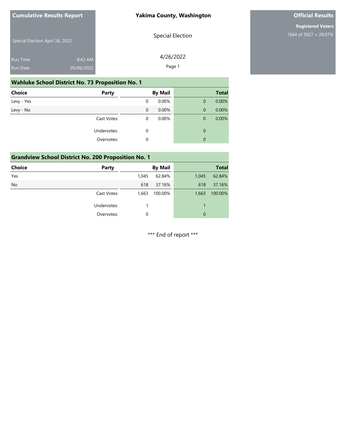## **Yakima County, Washington**

# **Official Results**

**Registered Voters** 1664 of 5927 = 28.07%

Special Election April 26, 2022 8:42 AM Special Election

| 4/26/2022 |
|-----------|
| Page 1    |

## **Wahluke School District No. 73 Proposition No. 1**

05/06/2022

| <b>Choice</b> | <b>Party</b> |             | <b>By Mail</b> |              | <b>Total</b> |
|---------------|--------------|-------------|----------------|--------------|--------------|
| Levy - Yes    |              | 0           | 0.00%          | $\mathbf{0}$ | 0.00%        |
| Levy - No     |              | $\mathbf 0$ | 0.00%          | $\mathbf{0}$ | 0.00%        |
|               | Cast Votes:  | 0           | 0.00%          | 0            | 0.00%        |
|               | Undervotes:  | 0           |                | 0            |              |
|               | Overvotes:   | 0           |                | 0            |              |

| <b>Grandview School District No. 200 Proposition No. 1</b> |             |       |                |       |              |  |  |
|------------------------------------------------------------|-------------|-------|----------------|-------|--------------|--|--|
| Choice                                                     | Party       |       | <b>By Mail</b> |       | <b>Total</b> |  |  |
| Yes                                                        |             | 1.045 | 62.84%         | 1,045 | 62.84%       |  |  |
| <b>No</b>                                                  |             | 618   | 37.16%         | 618   | 37.16%       |  |  |
|                                                            | Cast Votes: | 1,663 | 100.00%        | 1,663 | 100.00%      |  |  |
|                                                            | Undervotes: |       |                |       |              |  |  |
|                                                            | Overvotes:  | 0     |                | 0     |              |  |  |

\*\*\* End of report \*\*\*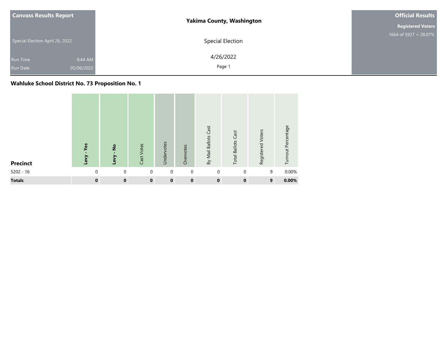|  | <b>Canvass Results Report</b>                               | <b>Yakima County, Washington</b> | <b>Official Results</b>  |
|--|-------------------------------------------------------------|----------------------------------|--------------------------|
|  |                                                             |                                  | <b>Registered Voters</b> |
|  | Special Election April 26, 2022                             | Special Election                 | 1664 of 5927 = 28.07%    |
|  | 8:44 AM<br><b>Run Time</b><br>05/06/2022<br><b>Run Date</b> | 4/26/2022<br>Page 1              |                          |

## **Wahluke School District No. 73 Proposition No. 1**

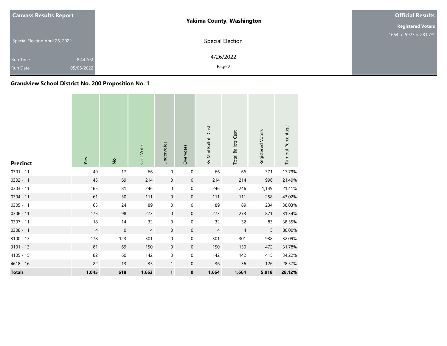| <b>Canvass Results Report</b>   |            | <b>Yakima County, Washington</b> | <b>Official Results</b>  |
|---------------------------------|------------|----------------------------------|--------------------------|
|                                 |            |                                  | <b>Registered Voters</b> |
| Special Election April 26, 2022 |            | Special Election                 | 1664 of 5927 = 28.07%    |
| Run Time                        | 8:44 AM    | 4/26/2022                        |                          |
| <b>Run Date</b>                 | 05/06/2022 | Page 2                           |                          |

## **Grandview School District No. 200 Proposition No. 1**

| <b>Precinct</b> | Yes            | $\frac{1}{2}$ | Cast Votes     | Undervotes       | Overvotes        | By Mail Ballots Cast | <b>Total Ballots Cast</b> | Registered Voters | Turnout Percentage |
|-----------------|----------------|---------------|----------------|------------------|------------------|----------------------|---------------------------|-------------------|--------------------|
| $0301 - 11$     | 49             | 17            | 66             | $\pmb{0}$        | $\mathbf 0$      | 66                   | 66                        | 371               | 17.79%             |
| $0302 - 11$     | 145            | 69            | 214            | $\mathbf 0$      | $\boldsymbol{0}$ | 214                  | 214                       | 996               | 21.49%             |
| $0303 - 11$     | 165            | 81            | 246            | $\pmb{0}$        | $\pmb{0}$        | 246                  | 246                       | 1,149             | 21.41%             |
| $0304 - 11$     | 61             | 50            | 111            | $\boldsymbol{0}$ | $\mathbf 0$      | 111                  | 111                       | 258               | 43.02%             |
| $0305 - 11$     | 65             | 24            | 89             | $\pmb{0}$        | $\boldsymbol{0}$ | 89                   | 89                        | 234               | 38.03%             |
| $0306 - 11$     | 175            | 98            | 273            | $\mathbf 0$      | $\mathbf 0$      | 273                  | 273                       | 871               | 31.34%             |
| $0307 - 11$     | 18             | 14            | 32             | $\pmb{0}$        | $\pmb{0}$        | 32                   | 32                        | 83                | 38.55%             |
| $0308 - 11$     | $\overline{4}$ | $\mathbf 0$   | $\overline{4}$ | $\mathbf 0$      | $\mathbf 0$      | $\overline{4}$       | $\overline{4}$            | 5                 | 80.00%             |
| $3100 - 13$     | 178            | 123           | 301            | $\pmb{0}$        | $\boldsymbol{0}$ | 301                  | 301                       | 938               | 32.09%             |
| $3101 - 13$     | 81             | 69            | 150            | $\mathbf 0$      | $\mathbf 0$      | 150                  | 150                       | 472               | 31.78%             |
| $4105 - 15$     | 82             | 60            | 142            | $\pmb{0}$        | $\boldsymbol{0}$ | 142                  | 142                       | 415               | 34.22%             |
| $4618 - 16$     | 22             | 13            | 35             | $\mathbf{1}$     | $\mathbf 0$      | 36                   | 36                        | 126               | 28.57%             |
| <b>Totals</b>   | 1,045          | 618           | 1,663          | $\mathbf{1}$     | $\pmb{0}$        | 1,664                | 1,664                     | 5,918             | 28.12%             |